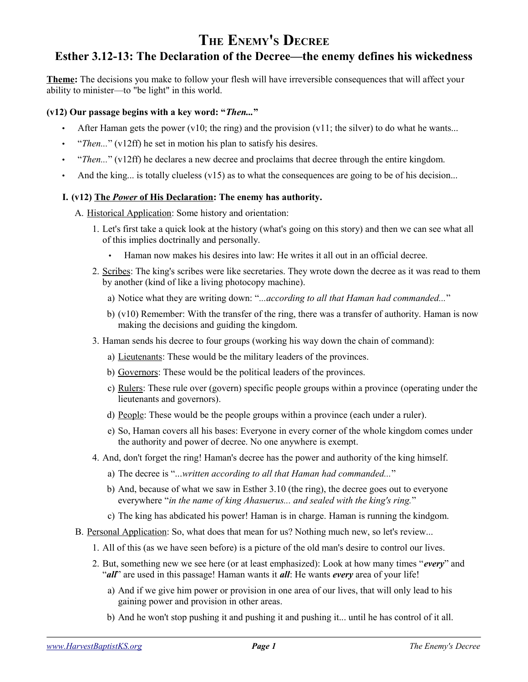# **THE ENEMY'S DECREE Esther 3.12-13: The Declaration of the Decree—the enemy defines his wickedness**

**Theme:** The decisions you make to follow your flesh will have irreversible consequences that will affect your ability to minister—to "be light" in this world.

# **(v12) Our passage begins with a key word: "***Then...***"**

- After Haman gets the power (v10; the ring) and the provision (v11; the silver) to do what he wants...
- "*Then...*" (v12ff) he set in motion his plan to satisfy his desires.
- "*Then...*" (v12ff) he declares a new decree and proclaims that decree through the entire kingdom.
- And the king... is totally clueless  $(v15)$  as to what the consequences are going to be of his decision...

### **I. (v12) The** *Power* **of His Declaration: The enemy has authority.**

A. Historical Application: Some history and orientation:

- 1. Let's first take a quick look at the history (what's going on this story) and then we can see what all of this implies doctrinally and personally.
	- Haman now makes his desires into law: He writes it all out in an official decree.
- 2. Scribes: The king's scribes were like secretaries. They wrote down the decree as it was read to them by another (kind of like a living photocopy machine).
	- a) Notice what they are writing down: "*...according to all that Haman had commanded...*"
	- b) (v10) Remember: With the transfer of the ring, there was a transfer of authority. Haman is now making the decisions and guiding the kingdom.
- 3. Haman sends his decree to four groups (working his way down the chain of command):
	- a) Lieutenants: These would be the military leaders of the provinces.
	- b) Governors: These would be the political leaders of the provinces.
	- c) Rulers: These rule over (govern) specific people groups within a province (operating under the lieutenants and governors).
	- d) People: These would be the people groups within a province (each under a ruler).
	- e) So, Haman covers all his bases: Everyone in every corner of the whole kingdom comes under the authority and power of decree. No one anywhere is exempt.
- 4. And, don't forget the ring! Haman's decree has the power and authority of the king himself.
	- a) The decree is "...*written according to all that Haman had commanded...*"
	- b) And, because of what we saw in Esther 3.10 (the ring), the decree goes out to everyone everywhere "*in the name of king Ahasuerus... and sealed with the king's ring.*"
	- c) The king has abdicated his power! Haman is in charge. Haman is running the kindgom.
- B. Personal Application: So, what does that mean for us? Nothing much new, so let's review...
	- 1. All of this (as we have seen before) is a picture of the old man's desire to control our lives.
	- 2. But, something new we see here (or at least emphasized): Look at how many times "*every*" and "*all*" are used in this passage! Haman wants it *all*: He wants *every* area of your life!
		- a) And if we give him power or provision in one area of our lives, that will only lead to his gaining power and provision in other areas.
		- b) And he won't stop pushing it and pushing it and pushing it... until he has control of it all.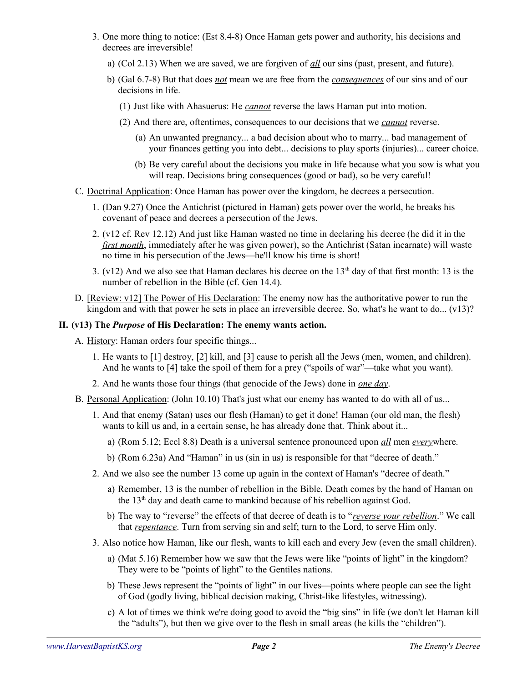- 3. One more thing to notice: (Est 8.4-8) Once Haman gets power and authority, his decisions and decrees are irreversible!
	- a) (Col 2.13) When we are saved, we are forgiven of *all* our sins (past, present, and future).
	- b) (Gal 6.7-8) But that does *not* mean we are free from the *consequences* of our sins and of our decisions in life.
		- (1) Just like with Ahasuerus: He *cannot* reverse the laws Haman put into motion.
		- (2) And there are, oftentimes, consequences to our decisions that we *cannot* reverse.
			- (a) An unwanted pregnancy... a bad decision about who to marry... bad management of your finances getting you into debt... decisions to play sports (injuries)... career choice.
			- (b) Be very careful about the decisions you make in life because what you sow is what you will reap. Decisions bring consequences (good or bad), so be very careful!
- C. Doctrinal Application: Once Haman has power over the kingdom, he decrees a persecution.
	- 1. (Dan 9.27) Once the Antichrist (pictured in Haman) gets power over the world, he breaks his covenant of peace and decrees a persecution of the Jews.
	- 2. (v12 cf. Rev 12.12) And just like Haman wasted no time in declaring his decree (he did it in the *first month*, immediately after he was given power), so the Antichrist (Satan incarnate) will waste no time in his persecution of the Jews—he'll know his time is short!
	- 3. (v12) And we also see that Haman declares his decree on the  $13<sup>th</sup>$  day of that first month: 13 is the number of rebellion in the Bible (cf. Gen 14.4).
- D. [Review: v12] The Power of His Declaration: The enemy now has the authoritative power to run the kingdom and with that power he sets in place an irreversible decree. So, what's he want to do... (v13)?

### **II. (v13) The** *Purpose* **of His Declaration: The enemy wants action.**

A. History: Haman orders four specific things...

- 1. He wants to [1] destroy, [2] kill, and [3] cause to perish all the Jews (men, women, and children). And he wants to [4] take the spoil of them for a prey ("spoils of war"—take what you want).
- 2. And he wants those four things (that genocide of the Jews) done in *one day*.
- B. Personal Application: (John 10.10) That's just what our enemy has wanted to do with all of us...
	- 1. And that enemy (Satan) uses our flesh (Haman) to get it done! Haman (our old man, the flesh) wants to kill us and, in a certain sense, he has already done that. Think about it...
		- a) (Rom 5.12; Eccl 8.8) Death is a universal sentence pronounced upon *all* men *every*where.
		- b) (Rom 6.23a) And "Haman" in us (sin in us) is responsible for that "decree of death."
	- 2. And we also see the number 13 come up again in the context of Haman's "decree of death."
		- a) Remember, 13 is the number of rebellion in the Bible. Death comes by the hand of Haman on the 13<sup>th</sup> day and death came to mankind because of his rebellion against God.
		- b) The way to "reverse" the effects of that decree of death is to "*reverse your rebellion*." We call that *repentance*. Turn from serving sin and self; turn to the Lord, to serve Him only.
	- 3. Also notice how Haman, like our flesh, wants to kill each and every Jew (even the small children).
		- a) (Mat 5.16) Remember how we saw that the Jews were like "points of light" in the kingdom? They were to be "points of light" to the Gentiles nations.
		- b) These Jews represent the "points of light" in our lives—points where people can see the light of God (godly living, biblical decision making, Christ-like lifestyles, witnessing).
		- c) A lot of times we think we're doing good to avoid the "big sins" in life (we don't let Haman kill the "adults"), but then we give over to the flesh in small areas (he kills the "children").